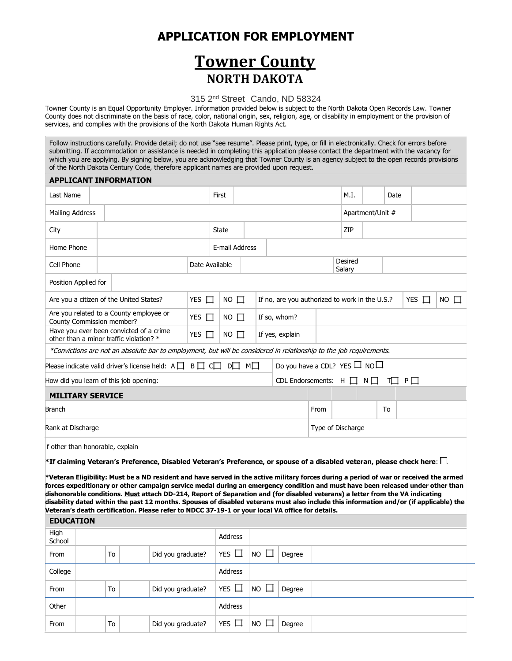## **APPLICATION FOR EMPLOYMENT**

# **Towner County NORTH DAKOTA**

### 315 2nd Street Cando, ND 58324

Towner County is an Equal Opportunity Employer. Information provided below is subject to the North Dakota Open Records Law. Towner County does not discriminate on the basis of race, color, national origin, sex, religion, age, or disability in employment or the provision of services, and complies with the provisions of the North Dakota Human Rights Act.

Follow instructions carefully. Provide detail; do not use "see resume". Please print, type, or fill in electronically. Check for errors before submitting. If accommodation or assistance is needed in completing this application please contact the department with the vacancy for which you are applying. By signing below, you are acknowledging that Towner County is an agency subject to the open records provisions of the North Dakota Century Code, therefore applicant names are provided upon request.

#### **APPLICANT INFORMATION**

| Last Name                                                                          |                                                                      |                                                                                                                     |                | First       |                   |                 |              |                                                |      | M.I.              |                  | Date |   |            |             |
|------------------------------------------------------------------------------------|----------------------------------------------------------------------|---------------------------------------------------------------------------------------------------------------------|----------------|-------------|-------------------|-----------------|--------------|------------------------------------------------|------|-------------------|------------------|------|---|------------|-------------|
| Mailing Address                                                                    |                                                                      |                                                                                                                     |                |             |                   |                 |              |                                                |      |                   | Apartment/Unit # |      |   |            |             |
| City                                                                               |                                                                      |                                                                                                                     |                |             | <b>State</b>      |                 |              | ZIP                                            |      |                   |                  |      |   |            |             |
| Home Phone                                                                         |                                                                      |                                                                                                                     |                |             | E-mail Address    |                 |              |                                                |      |                   |                  |      |   |            |             |
| Cell Phone                                                                         |                                                                      |                                                                                                                     | Date Available |             |                   |                 |              |                                                |      | Desired<br>Salary |                  |      |   |            |             |
| Position Applied for                                                               |                                                                      |                                                                                                                     |                |             |                   |                 |              |                                                |      |                   |                  |      |   |            |             |
|                                                                                    |                                                                      | Are you a citizen of the United States?                                                                             | YES $\Box$     |             | $NO \square$      |                 |              | If no, are you authorized to work in the U.S.? |      |                   |                  |      |   | YES $\Box$ | $NO$ $\Box$ |
|                                                                                    | Are you related to a County employee or<br>County Commission member? |                                                                                                                     | YES $\Box$     |             | $NO \square$      |                 | If so, whom? |                                                |      |                   |                  |      |   |            |             |
| Have you ever been convicted of a crime<br>other than a minor traffic violation? * |                                                                      | YES $\Box$                                                                                                          |                | $NO$ $\Box$ |                   | If yes, explain |              |                                                |      |                   |                  |      |   |            |             |
|                                                                                    |                                                                      | *Convictions are not an absolute bar to employment, but will be considered in relationship to the job requirements. |                |             |                   |                 |              |                                                |      |                   |                  |      |   |            |             |
|                                                                                    |                                                                      | Please indicate valid driver's license held: $A \Box B \Box C \Box$                                                 |                |             | $D \Box$ $M \Box$ |                 |              | Do you have a CDL? YES $\Box$ NO $\Box$        |      |                   |                  |      |   |            |             |
| How did you learn of this job opening:                                             |                                                                      |                                                                                                                     |                |             |                   |                 |              | CDL Endorsements: $H \Box N \Box$              |      |                   |                  |      | P |            |             |
| <b>MILITARY SERVICE</b>                                                            |                                                                      |                                                                                                                     |                |             |                   |                 |              |                                                |      |                   |                  |      |   |            |             |
| <b>Branch</b>                                                                      |                                                                      |                                                                                                                     |                |             |                   |                 |              |                                                | From |                   |                  | To   |   |            |             |
|                                                                                    | Rank at Discharge                                                    |                                                                                                                     |                |             |                   |                 |              | Type of Discharge                              |      |                   |                  |      |   |            |             |
| f other than honorable, explain                                                    |                                                                      |                                                                                                                     |                |             |                   |                 |              |                                                |      |                   |                  |      |   |            |             |

**\*If claiming Veteran's Preference, Disabled Veteran's Preference, or spouse of a disabled veteran, please check here**:

**\*Veteran Eligibility: Must be a ND resident and have served in the active military forces during a period of war or received the armed forces expeditionary or other campaign service medal during an emergency condition and must have been released under other than dishonorable conditions. Must attach DD-214, Report of Separation and (for disabled veterans) a letter from the VA indicating disability dated within the past 12 months. Spouses of disabled veterans must also include this information and/or (if applicable) the Veteran's death certification. Please refer to NDCC 37-19-1 or your local VA office for details.**

#### **EDUCATION**

| High<br>School |    |                   | Address    |                                                      |        |  |
|----------------|----|-------------------|------------|------------------------------------------------------|--------|--|
| From           | To | Did you graduate? | YES $\Box$ | $\overline{\phantom{a}}$ NO $\overline{\phantom{a}}$ | Degree |  |
| College        |    |                   | Address    |                                                      |        |  |
| From           | To | Did you graduate? | YES $\Box$ | $\overline{\phantom{a}}$ NO $\overline{\phantom{a}}$ | Degree |  |
| Other          |    |                   | Address    |                                                      |        |  |
| From           | To | Did you graduate? | YES $\Box$ | $NO$ $\Box$                                          | Degree |  |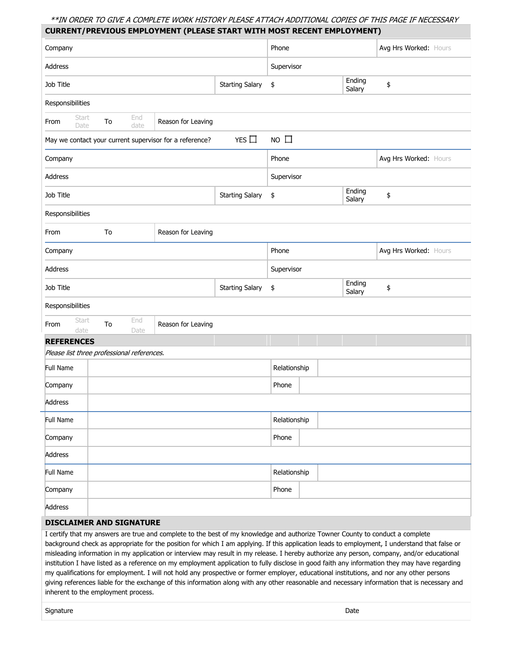### \*\*IN ORDER TO GIVE A COMPLETE WORK HISTORY PLEASE ATTACH ADDITIONAL COPIES OF THIS PAGE IF NECESSARY **CURRENT/PREVIOUS EMPLOYMENT (PLEASE START WITH MOST RECENT EMPLOYMENT)**

| Company           |               |    |                                                         |                    |                        | Phone        |  |                  | Avg Hrs Worked: Hours                                                                                                         |
|-------------------|---------------|----|---------------------------------------------------------|--------------------|------------------------|--------------|--|------------------|-------------------------------------------------------------------------------------------------------------------------------|
| Address           |               |    |                                                         |                    |                        | Supervisor   |  |                  |                                                                                                                               |
| Job Title         |               |    |                                                         |                    | <b>Starting Salary</b> | \$           |  | Ending<br>Salary | \$                                                                                                                            |
| Responsibilities  |               |    |                                                         |                    |                        |              |  |                  |                                                                                                                               |
| From              | Start<br>Date | To | End<br>date                                             | Reason for Leaving |                        |              |  |                  |                                                                                                                               |
|                   |               |    | May we contact your current supervisor for a reference? |                    | YES $\Box$             | $NO$ $\Box$  |  |                  |                                                                                                                               |
| Company           |               |    |                                                         |                    |                        | Phone        |  |                  | Avg Hrs Worked: Hours                                                                                                         |
| Address           |               |    |                                                         |                    |                        | Supervisor   |  |                  |                                                                                                                               |
| Job Title         |               |    |                                                         |                    | <b>Starting Salary</b> | \$           |  | Ending<br>Salary | \$                                                                                                                            |
| Responsibilities  |               |    |                                                         |                    |                        |              |  |                  |                                                                                                                               |
| From              |               | To |                                                         | Reason for Leaving |                        |              |  |                  |                                                                                                                               |
| Company           |               |    |                                                         |                    |                        | Phone        |  |                  | Avg Hrs Worked: Hours                                                                                                         |
| Address           |               |    |                                                         |                    |                        | Supervisor   |  |                  |                                                                                                                               |
| Job Title         |               |    |                                                         |                    | <b>Starting Salary</b> | \$           |  | Ending<br>Salary | \$                                                                                                                            |
| Responsibilities  |               |    |                                                         |                    |                        |              |  |                  |                                                                                                                               |
| From              | Start<br>date | To | End<br>Date                                             | Reason for Leaving |                        |              |  |                  |                                                                                                                               |
| <b>REFERENCES</b> |               |    |                                                         |                    |                        |              |  |                  |                                                                                                                               |
|                   |               |    | Please list three professional references.              |                    |                        |              |  |                  |                                                                                                                               |
| Full Name         |               |    |                                                         |                    |                        | Relationship |  |                  |                                                                                                                               |
| Company           |               |    |                                                         |                    |                        | Phone        |  |                  |                                                                                                                               |
| Address           |               |    |                                                         |                    |                        |              |  |                  |                                                                                                                               |
| Full Name         |               |    |                                                         |                    |                        | Relationship |  |                  |                                                                                                                               |
| Company           |               |    |                                                         |                    |                        | Phone        |  |                  |                                                                                                                               |
| Address           |               |    |                                                         |                    |                        |              |  |                  |                                                                                                                               |
| Full Name         |               |    |                                                         |                    |                        | Relationship |  |                  |                                                                                                                               |
| Company           |               |    |                                                         |                    |                        | Phone        |  |                  |                                                                                                                               |
| Address           |               |    |                                                         |                    |                        |              |  |                  |                                                                                                                               |
|                   |               |    | <b>DISCLAIMER AND SIGNATURE</b>                         |                    |                        |              |  |                  |                                                                                                                               |
|                   |               |    |                                                         |                    |                        |              |  |                  | I certify that my answers are true and complete to the best of my knowledge and authorize Towner County to conduct a complete |

background check as appropriate for the position for which I am applying. If this application leads to employment, I understand that false or misleading information in my application or interview may result in my release. I hereby authorize any person, company, and/or educational institution I have listed as a reference on my employment application to fully disclose in good faith any information they may have regarding my qualifications for employment. I will not hold any prospective or former employer, educational institutions, and nor any other persons giving references liable for the exchange of this information along with any other reasonable and necessary information that is necessary and inherent to the employment process.

signature **Date**